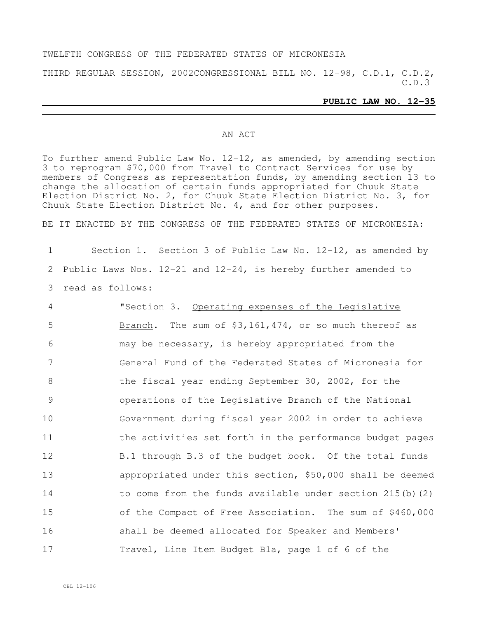#### TWELFTH CONGRESS OF THE FEDERATED STATES OF MICRONESIA

THIRD REGULAR SESSION, 2002CONGRESSIONAL BILL NO. 12-98, C.D.1, C.D.2, C.D.3

#### **PUBLIC LAW NO. 12-35**

#### AN ACT

To further amend Public Law No. 12-12, as amended, by amending section 3 to reprogram \$70,000 from Travel to Contract Services for use by members of Congress as representation funds, by amending section 13 to change the allocation of certain funds appropriated for Chuuk State Election District No. 2, for Chuuk State Election District No. 3, for Chuuk State Election District No. 4, and for other purposes.

BE IT ENACTED BY THE CONGRESS OF THE FEDERATED STATES OF MICRONESIA:

1 Section 1. Section 3 of Public Law No. 12-12, as amended by 2 Public Laws Nos. 12-21 and 12-24, is hereby further amended to 3 read as follows:

 "Section 3. Operating expenses of the Legislative Branch. The sum of \$3,161,474, or so much thereof as may be necessary, is hereby appropriated from the General Fund of the Federated States of Micronesia for 8 the fiscal year ending September 30, 2002, for the operations of the Legislative Branch of the National Government during fiscal year 2002 in order to achieve 11 the activities set forth in the performance budget pages B.1 through B.3 of the budget book. Of the total funds appropriated under this section, \$50,000 shall be deemed to come from the funds available under section 215(b)(2) of the Compact of Free Association. The sum of \$460,000 shall be deemed allocated for Speaker and Members' Travel, Line Item Budget B1a, page 1 of 6 of the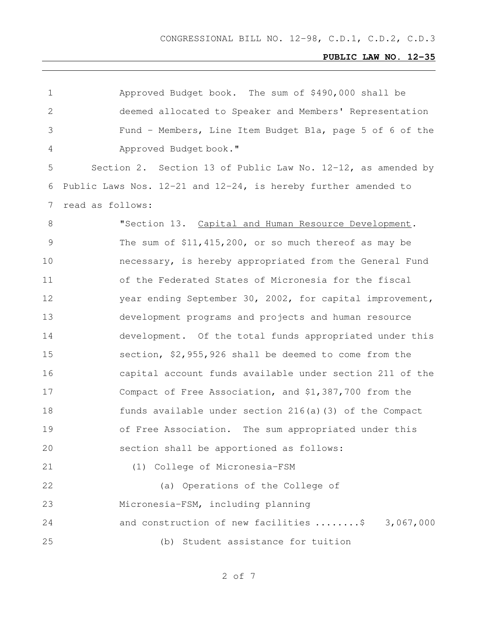| 1             | Approved Budget book. The sum of \$490,000 shall be                 |
|---------------|---------------------------------------------------------------------|
| $\sqrt{2}$    | deemed allocated to Speaker and Members' Representation             |
| 3             | Fund - Members, Line Item Budget Bla, page 5 of 6 of the            |
| 4             | Approved Budget book."                                              |
| 5             | Section 2. Section 13 of Public Law No. 12-12, as amended by        |
| 6             | Public Laws Nos. $12-21$ and $12-24$ , is hereby further amended to |
| 7             | read as follows:                                                    |
| 8             | "Section 13. Capital and Human Resource Development.                |
| $\mathcal{G}$ | The sum of $$11,415,200$ , or so much thereof as may be             |
| 10            | necessary, is hereby appropriated from the General Fund             |
| 11            | of the Federated States of Micronesia for the fiscal                |
| 12            | year ending September 30, 2002, for capital improvement,            |
| 13            | development programs and projects and human resource                |
| 14            | development. Of the total funds appropriated under this             |
| 15            | section, \$2,955,926 shall be deemed to come from the               |
| 16            | capital account funds available under section 211 of the            |
| 17            | Compact of Free Association, and \$1,387,700 from the               |
| 18            | funds available under section 216(a)(3) of the Compact              |
| 19            | of Free Association. The sum appropriated under this                |
| 20            | section shall be apportioned as follows:                            |
| 21            | (1) College of Micronesia-FSM                                       |
| 22            | (a) Operations of the College of                                    |
| 23            | Micronesia-FSM, including planning                                  |
| 24            | and construction of new facilities \$ 3,067,000                     |
| 25            | (b) Student assistance for tuition                                  |
|               |                                                                     |

of 7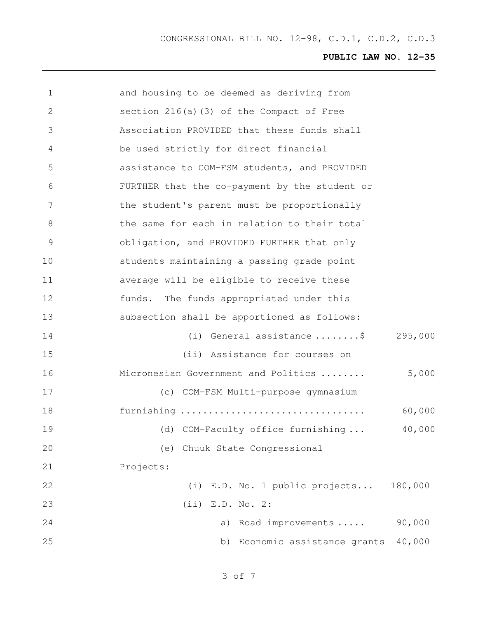| $\mathbf 1$   | and housing to be deemed as deriving from     |         |
|---------------|-----------------------------------------------|---------|
| 2             | section 216(a)(3) of the Compact of Free      |         |
| 3             | Association PROVIDED that these funds shall   |         |
| 4             | be used strictly for direct financial         |         |
| 5             | assistance to COM-FSM students, and PROVIDED  |         |
| 6             | FURTHER that the co-payment by the student or |         |
| 7             | the student's parent must be proportionally   |         |
| 8             | the same for each in relation to their total  |         |
| $\mathcal{G}$ | obligation, and PROVIDED FURTHER that only    |         |
| 10            | students maintaining a passing grade point    |         |
| 11            | average will be eligible to receive these     |         |
| 12            | funds. The funds appropriated under this      |         |
| 13            | subsection shall be apportioned as follows:   |         |
| 14            | (i) General assistance $\ldots \ldots$        | 295,000 |
| 15            | (ii) Assistance for courses on                |         |
| 16            | Micronesian Government and Politics           | 5,000   |
| 17            | (c) COM-FSM Multi-purpose gymnasium           |         |
| 18            | furnishing                                    | 60,000  |
| 19            | (d) COM-Faculty office furnishing             | 40,000  |
| 20            | (e) Chuuk State Congressional                 |         |
| 21            | Projects:                                     |         |
| 22            | (i) E.D. No. 1 public projects                | 180,000 |
| 23            | $(iii)$ E.D. No. 2:                           |         |
| 24            | a) Road improvements                          | 90,000  |
| 25            | Economic assistance grants<br>b)              | 40,000  |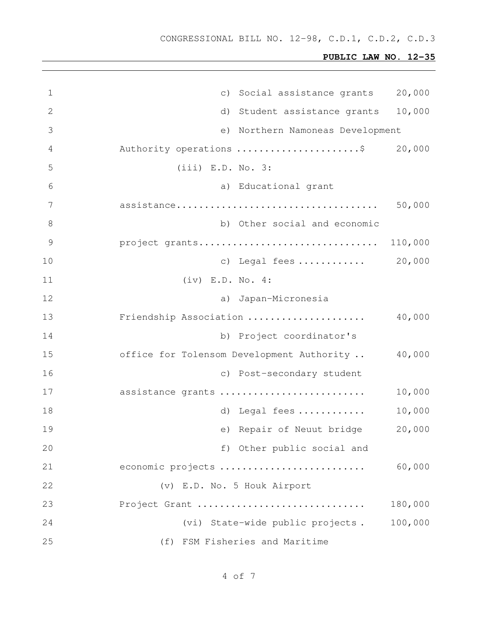CONGRESSIONAL BILL NO. 12-98, C.D.1, C.D.2, C.D.3

| $\mathbf 1$   | c) Social assistance grants               | 20,000  |
|---------------|-------------------------------------------|---------|
| 2             | d) Student assistance grants              | 10,000  |
| 3             | e) Northern Namoneas Development          |         |
| 4             | Authority operations \$ 20,000            |         |
| 5             | $(iii)$ E.D. No. 3:                       |         |
| 6             | a) Educational grant                      |         |
| 7             |                                           | 50,000  |
| 8             | b) Other social and economic              |         |
| $\mathcal{G}$ | project grants 110,000                    |         |
| 10            | c) Legal fees  20,000                     |         |
| 11            | $(iv)$ E.D. No. 4:                        |         |
| 12            | a) Japan-Micronesia                       |         |
| 13            | Friendship Association                    | 40,000  |
| 14            | b) Project coordinator's                  |         |
| 15            | office for Tolensom Development Authority | 40,000  |
| 16            | c) Post-secondary student                 |         |
| 17            | assistance grants                         | 10,000  |
| 18            | d) Legal fees                             | 10,000  |
| 19            | e) Repair of Neuut bridge                 | 20,000  |
| 20            | f) Other public social and                |         |
| 21            | economic projects                         | 60,000  |
| 22            | (v) E.D. No. 5 Houk Airport               |         |
| 23            | Project Grant                             | 180,000 |
| 24            | (vi) State-wide public projects.          | 100,000 |
| 25            | (f) FSM Fisheries and Maritime            |         |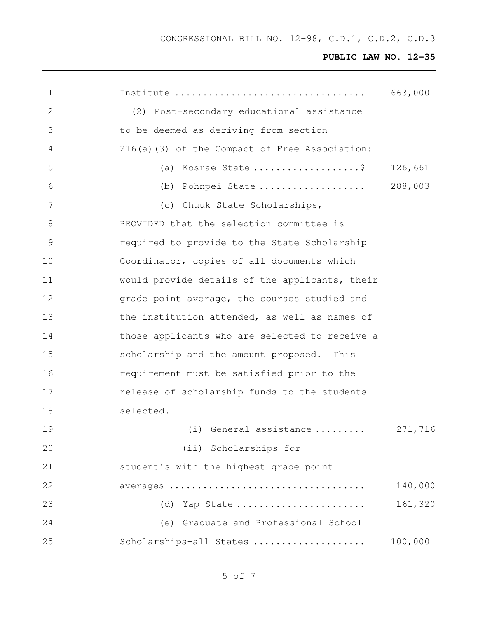| $\mathbf 1$   |                                                | 663,000 |
|---------------|------------------------------------------------|---------|
| 2             | (2) Post-secondary educational assistance      |         |
| 3             | to be deemed as deriving from section          |         |
| 4             | 216(a)(3) of the Compact of Free Association:  |         |
| 5             | (a) Kosrae State \$                            | 126,661 |
| 6             | (b) Pohnpei State                              | 288,003 |
| 7             | (c) Chuuk State Scholarships,                  |         |
| 8             | PROVIDED that the selection committee is       |         |
| $\mathcal{G}$ | required to provide to the State Scholarship   |         |
| 10            | Coordinator, copies of all documents which     |         |
| 11            | would provide details of the applicants, their |         |
| 12            | grade point average, the courses studied and   |         |
| 13            | the institution attended, as well as names of  |         |
| 14            | those applicants who are selected to receive a |         |
| 15            | scholarship and the amount proposed. This      |         |
| 16            | requirement must be satisfied prior to the     |         |
| 17            | release of scholarship funds to the students   |         |
| 18            | selected.                                      |         |
| 19            | (i) General assistance                         | 271,716 |
| 20            | (ii) Scholarships for                          |         |
| 21            | student's with the highest grade point         |         |
| 22            |                                                | 140,000 |
| 23            | Yap State<br>(d)                               | 161,320 |
| 24            | (e) Graduate and Professional School           |         |
| 25            | Scholarships-all States                        | 100,000 |
|               |                                                |         |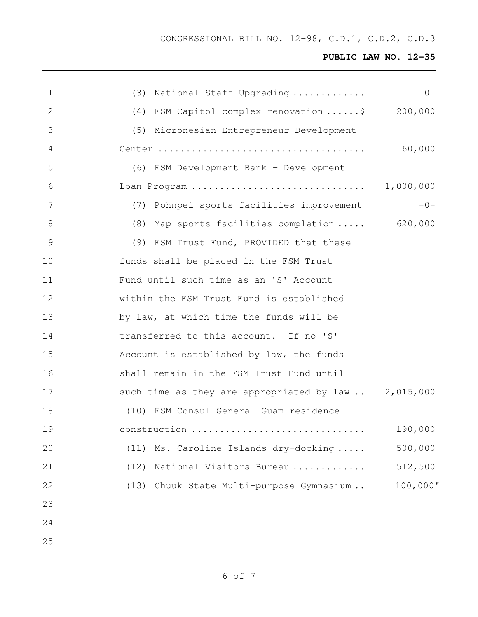| $\mathbf 1$     | (3) National Staff Upgrading                            | $-0-$       |
|-----------------|---------------------------------------------------------|-------------|
| $\mathbf{2}$    | (4) FSM Capitol complex renovation \$                   | 200,000     |
| 3               | (5) Micronesian Entrepreneur Development                |             |
| 4               |                                                         | 60,000      |
| 5               | (6) FSM Development Bank - Development                  |             |
| 6               | Loan Program                                            | 1,000,000   |
| $7\phantom{.0}$ | (7) Pohnpei sports facilities improvement               | $-0-$       |
| 8               | (8) Yap sports facilities completion  620,000           |             |
| $\mathcal{G}$   | (9) FSM Trust Fund, PROVIDED that these                 |             |
| 10              | funds shall be placed in the FSM Trust                  |             |
| 11              | Fund until such time as an 'S' Account                  |             |
| 12              | within the FSM Trust Fund is established                |             |
| 13              | by law, at which time the funds will be                 |             |
| 14              | transferred to this account. If no 'S'                  |             |
| 15              | Account is established by law, the funds                |             |
| 16              | shall remain in the FSM Trust Fund until                |             |
| 17              | such time as they are appropriated by $law$ $2,015,000$ |             |
| 18              | (10) FSM Consul General Guam residence                  |             |
| 19              | construction                                            | 190,000     |
| 20              | Ms. Caroline Islands dry-docking<br>(11)                | 500,000     |
| 21              | (12)<br>National Visitors Bureau                        | 512,500     |
| 22              | Chuuk State Multi-purpose Gymnasium<br>(13)             | $100,000$ " |
| 23              |                                                         |             |
| 24              |                                                         |             |
| 25              |                                                         |             |